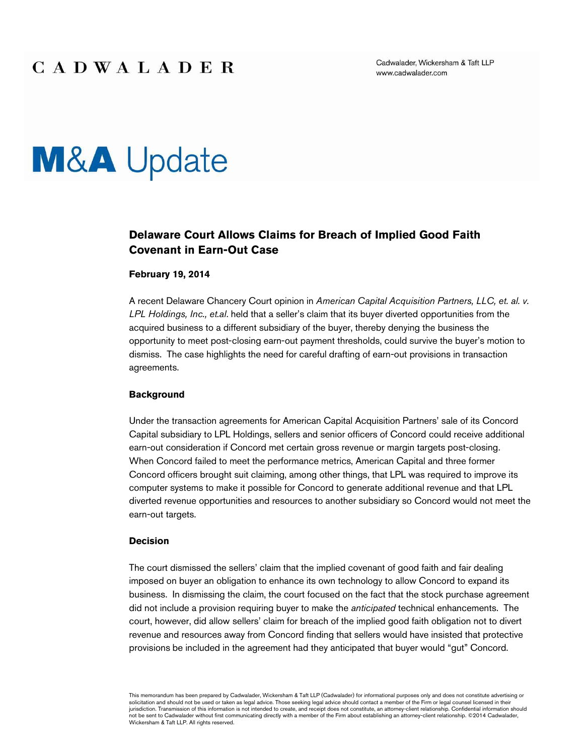Cadwalader, Wickersham & Taft LLP www.cadwalader.com

# **M&A** Update

### **Delaware Court Allows Claims for Breach of Implied Good Faith Covenant in Earn-Out Case**

#### **February 19, 2014**

A recent Delaware Chancery Court opinion in *American Capital Acquisition Partners, LLC, et. al. v. LPL Holdings, Inc., et.al*. held that a seller's claim that its buyer diverted opportunities from the acquired business to a different subsidiary of the buyer, thereby denying the business the opportunity to meet post-closing earn-out payment thresholds, could survive the buyer's motion to dismiss. The case highlights the need for careful drafting of earn-out provisions in transaction agreements.

#### **Background**

Under the transaction agreements for American Capital Acquisition Partners' sale of its Concord Capital subsidiary to LPL Holdings, sellers and senior officers of Concord could receive additional earn-out consideration if Concord met certain gross revenue or margin targets post-closing. When Concord failed to meet the performance metrics, American Capital and three former Concord officers brought suit claiming, among other things, that LPL was required to improve its computer systems to make it possible for Concord to generate additional revenue and that LPL diverted revenue opportunities and resources to another subsidiary so Concord would not meet the earn-out targets.

#### **Decision**

The court dismissed the sellers' claim that the implied covenant of good faith and fair dealing imposed on buyer an obligation to enhance its own technology to allow Concord to expand its business. In dismissing the claim, the court focused on the fact that the stock purchase agreement did not include a provision requiring buyer to make the *anticipated* technical enhancements. The court, however, did allow sellers' claim for breach of the implied good faith obligation not to divert revenue and resources away from Concord finding that sellers would have insisted that protective provisions be included in the agreement had they anticipated that buyer would "gut" Concord.

This memorandum has been prepared by Cadwalader, Wickersham & Taft LLP (Cadwalader) for informational purposes only and does not constitute advertising or solicitation and should not be used or taken as legal advice. Those seeking legal advice should contact a member of the Firm or legal counsel licensed in their jurisdiction. Transmission of this information is not intended to create, and receipt does not constitute, an attorney-client relationship. Confidential information should not be sent to Cadwalader without first communicating directly with a member of the Firm about establishing an attorney-client relationship. ©2014 Cadwalader, Wickersham & Taft LLP. All rights reserved.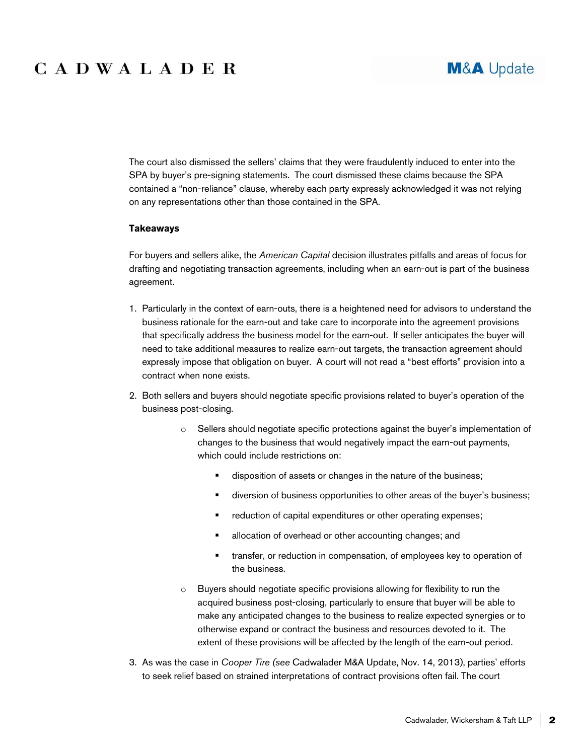## CADWALADER

The court also dismissed the sellers' claims that they were fraudulently induced to enter into the SPA by buyer's pre-signing statements. The court dismissed these claims because the SPA contained a "non-reliance" clause, whereby each party expressly acknowledged it was not relying on any representations other than those contained in the SPA.

#### **Takeaways**

For buyers and sellers alike, the *American Capital* decision illustrates pitfalls and areas of focus for drafting and negotiating transaction agreements, including when an earn-out is part of the business agreement.

- 1. Particularly in the context of earn-outs, there is a heightened need for advisors to understand the business rationale for the earn-out and take care to incorporate into the agreement provisions that specifically address the business model for the earn-out. If seller anticipates the buyer will need to take additional measures to realize earn-out targets, the transaction agreement should expressly impose that obligation on buyer. A court will not read a "best efforts" provision into a contract when none exists.
- 2. Both sellers and buyers should negotiate specific provisions related to buyer's operation of the business post-closing.
	- o Sellers should negotiate specific protections against the buyer's implementation of changes to the business that would negatively impact the earn-out payments, which could include restrictions on:
		- disposition of assets or changes in the nature of the business;
		- diversion of business opportunities to other areas of the buyer's business;
		- **F** reduction of capital expenditures or other operating expenses;
		- **EXEC** allocation of overhead or other accounting changes; and
		- **transfer, or reduction in compensation, of employees key to operation of** the business.
	- $\circ$  Buyers should negotiate specific provisions allowing for flexibility to run the acquired business post-closing, particularly to ensure that buyer will be able to make any anticipated changes to the business to realize expected synergies or to otherwise expand or contract the business and resources devoted to it. The extent of these provisions will be affected by the length of the earn-out period.
- 3. As was the case in *Cooper Tire (see* Cadwalader M&A Update, Nov. 14, 2013), parties' efforts to seek relief based on strained interpretations of contract provisions often fail. The court